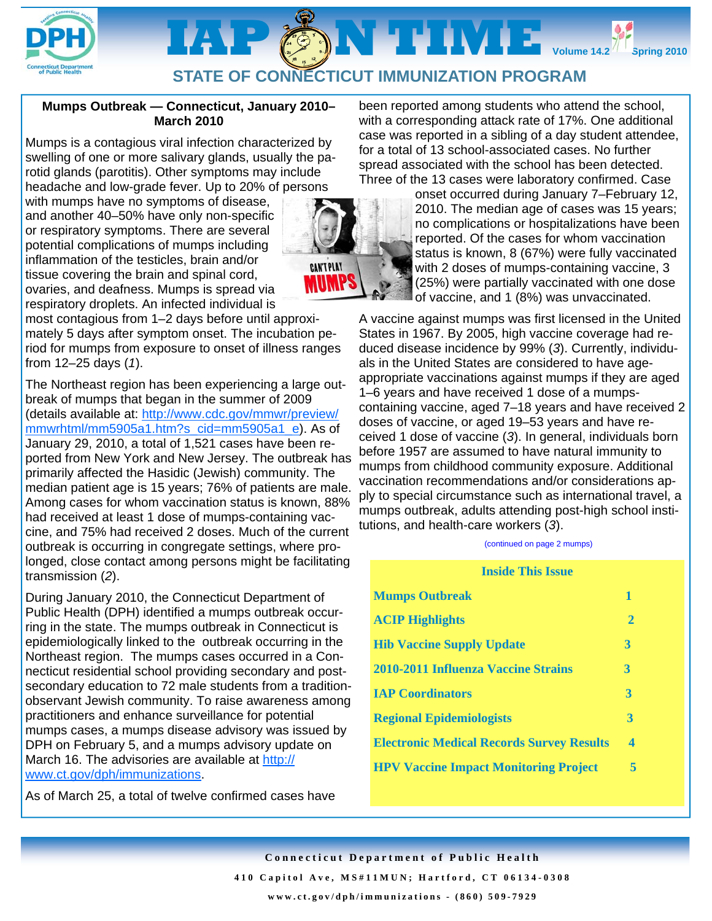

# IAP @MTIME. **STATE OF CONNECTICUT IMMUNIZATION PROGRAM**

# **Mumps Outbreak — Connecticut, January 2010– March 2010**

Mumps is a contagious viral infection characterized by swelling of one or more salivary glands, usually the parotid glands (parotitis). Other symptoms may include headache and low-grade fever. Up to 20% of persons

with mumps have no symptoms of disease, and another 40–50% have only non-specific or respiratory symptoms. There are several potential complications of mumps including inflammation of the testicles, brain and/or tissue covering the brain and spinal cord, ovaries, and deafness. Mumps is spread via respiratory droplets. An infected individual is

**CAN'T PLAY** 

most contagious from 1–2 days before until approximately 5 days after symptom onset. The incubation period for mumps from exposure to onset of illness ranges from 12–25 days (*1*).

The Northeast region has been experiencing a large outbreak of mumps that began in the summer of 2009 (details available at: http://www.cdc.gov/mmwr/preview/ mmwrhtml/mm5905a1.htm?s\_cid=mm5905a1\_e). As of January 29, 2010, a total of 1,521 cases have been reported from New York and New Jersey. The outbreak has primarily affected the Hasidic (Jewish) community. The median patient age is 15 years; 76% of patients are male. Among cases for whom vaccination status is known, 88% had received at least 1 dose of mumps-containing vaccine, and 75% had received 2 doses. Much of the current outbreak is occurring in congregate settings, where prolonged, close contact among persons might be facilitating transmission (*2*).

During January 2010, the Connecticut Department of Public Health (DPH) identified a mumps outbreak occurring in the state. The mumps outbreak in Connecticut is epidemiologically linked to the outbreak occurring in the Northeast region. The mumps cases occurred in a Connecticut residential school providing secondary and postsecondary education to 72 male students from a traditionobservant Jewish community. To raise awareness among practitioners and enhance surveillance for potential mumps cases, a mumps disease advisory was issued by DPH on February 5, and a mumps advisory update on March 16. The advisories are available at http:// www.ct.gov/dph/immunizations.

As of March 25, a total of twelve confirmed cases have

been reported among students who attend the school, with a corresponding attack rate of 17%. One additional case was reported in a sibling of a day student attendee, for a total of 13 school-associated cases. No further spread associated with the school has been detected. Three of the 13 cases were laboratory confirmed. Case



onset occurred during January 7–February 12, 2010. The median age of cases was 15 years; no complications or hospitalizations have been reported. Of the cases for whom vaccination status is known, 8 (67%) were fully vaccinated with 2 doses of mumps-containing vaccine, 3 (25%) were partially vaccinated with one dose of vaccine, and 1 (8%) was unvaccinated.

**Volume 14.2 Spring 2010** 

A vaccine against mumps was first licensed in the United States in 1967. By 2005, high vaccine coverage had reduced disease incidence by 99% (*3*). Currently, individuals in the United States are considered to have ageappropriate vaccinations against mumps if they are aged 1–6 years and have received 1 dose of a mumpscontaining vaccine, aged 7–18 years and have received 2 doses of vaccine, or aged 19–53 years and have received 1 dose of vaccine (*3*). In general, individuals born before 1957 are assumed to have natural immunity to mumps from childhood community exposure. Additional vaccination recommendations and/or considerations apply to special circumstance such as international travel, a mumps outbreak, adults attending post-high school institutions, and health-care workers (*3*).

#### (continued on page 2 mumps)

**Inside This Issue** 

| mside i ilis issue                               |              |
|--------------------------------------------------|--------------|
| <b>Mumps Outbreak</b>                            | 1            |
| <b>ACIP Highlights</b>                           | $\mathbf{2}$ |
| <b>Hib Vaccine Supply Update</b>                 | 3            |
| 2010-2011 Influenza Vaccine Strains              | 3            |
| <b>IAP Coordinators</b>                          | 3            |
| <b>Regional Epidemiologists</b>                  | 3            |
| <b>Electronic Medical Records Survey Results</b> | 4            |
| <b>HPV Vaccine Impact Monitoring Project</b>     | 5            |

**Connecticut Department of Public Health 410 Capitol Ave, MS#11MUN; Hartford, CT 06134-0308 www.ct.gov/dph/immunizations - (860) 509-7929**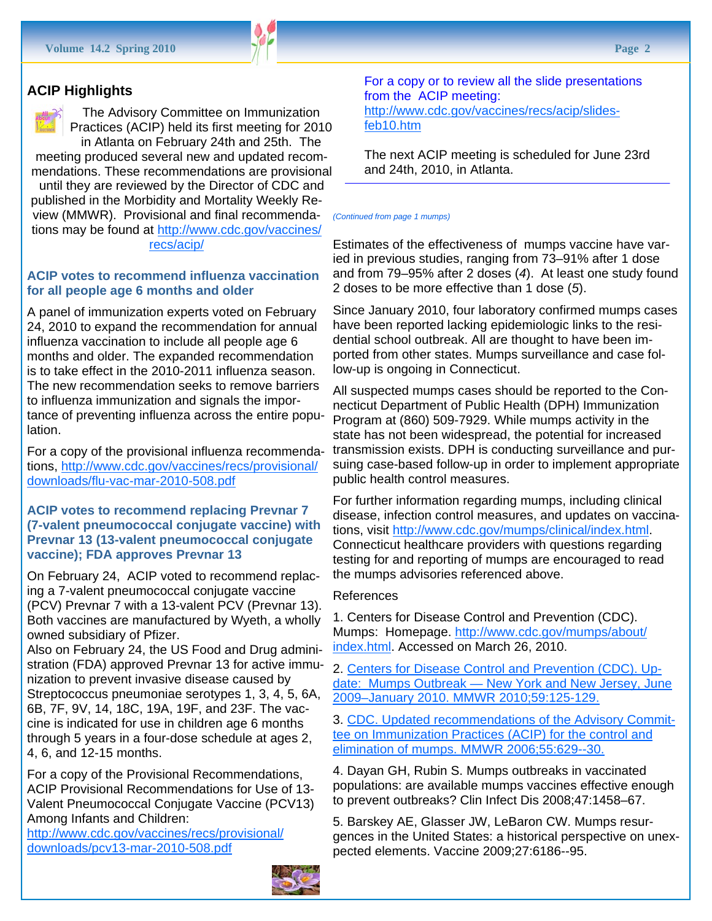# **ACIP Highlights**

The Advisory Committee on Immunization Practices (ACIP) held its first meeting for 2010 in Atlanta on February 24th and 25th. The

meeting produced several new and updated recommendations. These recommendations are provisional until they are reviewed by the Director of CDC and published in the Morbidity and Mortality Weekly Review (MMWR). Provisional and final recommendations may be found at http://www.cdc.gov/vaccines/ recs/acip/

# **ACIP votes to recommend influenza vaccination for all people age 6 months and older**

A panel of immunization experts voted on February 24, 2010 to expand the recommendation for annual influenza vaccination to include all people age 6 months and older. The expanded recommendation is to take effect in the 2010-2011 influenza season. The new recommendation seeks to remove barriers to influenza immunization and signals the importance of preventing influenza across the entire population.

For a copy of the provisional influenza recommendations, http://www.cdc.gov/vaccines/recs/provisional/ downloads/flu-vac-mar-2010-508.pdf

# **ACIP votes to recommend replacing Prevnar 7 (7-valent pneumococcal conjugate vaccine) with Prevnar 13 (13-valent pneumococcal conjugate vaccine); FDA approves Prevnar 13**

On February 24, ACIP voted to recommend replacing a 7-valent pneumococcal conjugate vaccine (PCV) Prevnar 7 with a 13-valent PCV (Prevnar 13). Both vaccines are manufactured by Wyeth, a wholly owned subsidiary of Pfizer.

Also on February 24, the US Food and Drug administration (FDA) approved Prevnar 13 for active immunization to prevent invasive disease caused by Streptococcus pneumoniae serotypes 1, 3, 4, 5, 6A, 6B, 7F, 9V, 14, 18C, 19A, 19F, and 23F. The vaccine is indicated for use in children age 6 months through 5 years in a four-dose schedule at ages 2, 4, 6, and 12-15 months.

For a copy of the Provisional Recommendations, ACIP Provisional Recommendations for Use of 13- Valent Pneumococcal Conjugate Vaccine (PCV13) Among Infants and Children:

http://www.cdc.gov/vaccines/recs/provisional/ downloads/pcv13-mar-2010-508.pdf



For a copy or to review all the slide presentations from the ACIP meeting: http://www.cdc.gov/vaccines/recs/acip/slidesfeb10.htm

The next ACIP meeting is scheduled for June 23rd and 24th, 2010, in Atlanta.

#### *(Continued from page 1 mumps)*

Estimates of the effectiveness of mumps vaccine have varied in previous studies, ranging from 73–91% after 1 dose and from 79–95% after 2 doses (*4*). At least one study found 2 doses to be more effective than 1 dose (*5*).

Since January 2010, four laboratory confirmed mumps cases have been reported lacking epidemiologic links to the residential school outbreak. All are thought to have been imported from other states. Mumps surveillance and case follow-up is ongoing in Connecticut.

All suspected mumps cases should be reported to the Connecticut Department of Public Health (DPH) Immunization Program at (860) 509-7929. While mumps activity in the state has not been widespread, the potential for increased transmission exists. DPH is conducting surveillance and pursuing case-based follow-up in order to implement appropriate public health control measures.

For further information regarding mumps, including clinical disease, infection control measures, and updates on vaccinations, visit http://www.cdc.gov/mumps/clinical/index.html. Connecticut healthcare providers with questions regarding testing for and reporting of mumps are encouraged to read the mumps advisories referenced above.

#### References

1. Centers for Disease Control and Prevention (CDC). Mumps: Homepage. http://www.cdc.gov/mumps/about/ index.html. Accessed on March 26, 2010.

2. Centers for Disease Control and Prevention (CDC). Update: Mumps Outbreak — New York and New Jersey, June 2009–January 2010. MMWR 2010;59:125-129.

3. CDC. Updated recommendations of the Advisory Committee on Immunization Practices (ACIP) for the control and elimination of mumps. MMWR 2006;55:629--30.

4. Dayan GH, Rubin S. Mumps outbreaks in vaccinated populations: are available mumps vaccines effective enough to prevent outbreaks? Clin Infect Dis 2008;47:1458–67.

5. Barskey AE, Glasser JW, LeBaron CW. Mumps resurgences in the United States: a historical perspective on unexpected elements. Vaccine 2009;27:6186--95.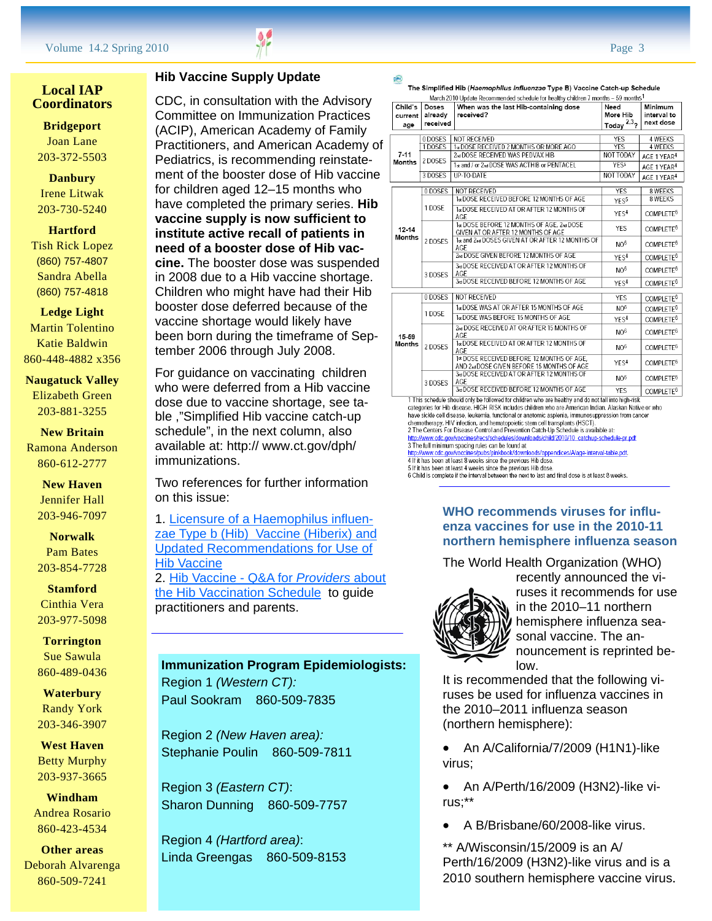# **Local IAP Coordinators**

**Bridgeport**  Joan Lane 203-372-5503

**Danbury**  Irene Litwak 203-730-5240

# **Hartford**  Tish Rick Lopez (860) 757-4807

Sandra Abella (860) 757-4818

#### **Ledge Light**

Martin Tolentino Katie Baldwin 860-448-4882 x356

# **Naugatuck Valley**

Elizabeth Green 203-881-3255

## **New Britain**  Ramona Anderson 860-612-2777

**New Haven**  Jennifer Hall 203-946-7097

**Norwalk**  Pam Bates 203-854-7728

# **Stamford**

Cinthia Vera 203-977-5098

# **Torrington**  Sue Sawula 860-489-0436

**Waterbury**  Randy York 203-346-3907

# **West Haven**  Betty Murphy 203-937-3665

# **Windham**  Andrea Rosario 860-423-4534

**Other areas**  Deborah Alvarenga 860-509-7241

# **Hib Vaccine Supply Update**

CDC, in consultation with the Advisory Committee on Immunization Practices (ACIP), American Academy of Family Practitioners, and American Academy of Pediatrics, is recommending reinstatement of the booster dose of Hib vaccine for children aged 12–15 months who have completed the primary series. **Hib vaccine supply is now sufficient to institute active recall of patients in need of a booster dose of Hib vaccine.** The booster dose was suspended in 2008 due to a Hib vaccine shortage. Children who might have had their Hib booster dose deferred because of the vaccine shortage would likely have been born during the timeframe of September 2006 through July 2008.

For guidance on vaccinating children who were deferred from a Hib vaccine dose due to vaccine shortage, see table ,"Simplified Hib vaccine catch-up schedule", in the next column, also available at: http:// www.ct.gov/dph/ immunizations.

Two references for further information on this issue:

1. Licensure of a Haemophilus influenzae Type b (Hib) Vaccine (Hiberix) and Updated Recommendations for Use of Hib Vaccine

2. Hib Vaccine - Q&A for *Providers* about the Hib Vaccination Schedule to guide practitioners and parents.

**Immunization Program Epidemiologists:** Region 1 *(Western CT):* Paul Sookram 860-509-7835

Region 2 *(New Haven area):* Stephanie Poulin 860-509-7811

Region 3 *(Eastern CT)*: Sharon Dunning 860-509-7757

Region 4 *(Hartford area)*: Linda Greengas 860-509-8153

| o |  |  |  |
|---|--|--|--|
|   |  |  |  |
|   |  |  |  |

The Simplified Hib (Haemophilus Influenzae Type B) Vaccine Catch-up Schedule

| Child's<br>current         | <b>Doses</b><br>already<br>received | When was the last Hib-containing dose<br>received?                                                                                               | Need<br>More Hib<br>2,3,7 | Minimum<br>interval to<br>next dose |
|----------------------------|-------------------------------------|--------------------------------------------------------------------------------------------------------------------------------------------------|---------------------------|-------------------------------------|
| age                        |                                     |                                                                                                                                                  | Todav                     |                                     |
|                            | 0DOSES                              | <b>NOT RECEIVED</b>                                                                                                                              | YES                       | 4 WEEKS                             |
| $7 - 11$<br>Months         | 1DOSES                              | 1st DOSE RECEIVED 2 MONTHS OR MORE AGO                                                                                                           | <b>YES</b>                | <b>4 WEEKS</b>                      |
|                            | 2 DOSES                             | 2nd DOSE RECEIVED WAS PEDVAX HIB                                                                                                                 | <b>NOT TODAY</b>          | AGE 1 YEAR <sup>4</sup>             |
|                            |                                     | 1st and / or 2nd DOSE WAS ACTHIB or PENTACEL                                                                                                     | YES5                      | AGE 1 YEAR <sup>4</sup>             |
|                            | 3 DOSES                             | <b>UP-TO-DATE</b>                                                                                                                                | NOT TODAY                 | AGE 1 YEAR <sup>4</sup>             |
|                            | 0 DOSES                             | <b>NOT RECEIVED</b>                                                                                                                              | <b>YES</b>                | 8 WEEKS                             |
|                            |                                     | 1st DOSE RECEIVED BEFORE 12 MONTHS OF AGE                                                                                                        | YES <sup>5</sup>          | 8 WEEKS                             |
| $12 - 14$<br><b>Months</b> | 1DOSE                               | 1st DOSE RECEIVED AT OR AFTER 12 MONTHS OF<br>AGE                                                                                                | YES <sup>4</sup>          | COMPLETE <sup>6</sup>               |
|                            | 2 DOSES                             | 1st DOSE BEFORE 12 MONTHS OF AGE, 2nd DOSE<br>GIVEN AT OR AFTER 12 MONTHS OF AGE                                                                 | <b>YES</b>                | COMPLETE <sup>6</sup>               |
|                            |                                     | 1st and 2nd DOSES GIVEN AT OR AFTER 12 MONTHS OF<br>AGF                                                                                          | NO <sup>6</sup>           | COMPLETE <sup>6</sup>               |
|                            |                                     | 2rd DOSE GIVEN BEFORE 12 MONTHS OF AGE                                                                                                           | YFS <sup>4</sup>          | COMPLETE <sup>6</sup>               |
|                            | 3 DOSES                             | 3rd DOSE RECEIVED AT OR AFTER 12 MONTHS OF<br>AGE                                                                                                | NO <sup>6</sup>           | COMPLETE <sup>6</sup>               |
|                            |                                     | 3rd DOSE RECEIVED BEFORE 12 MONTHS OF AGE                                                                                                        | YES <sup>4</sup>          | COMPLETE <sup>6</sup>               |
|                            | 0 DOSES                             | NOT RECEIVED                                                                                                                                     | YES                       | COMPLETE <sup>6</sup>               |
|                            | 1DOSE                               | 1«DOSE WAS AT OR AFTER 15 MONTHS OF AGE                                                                                                          | NO <sup>6</sup>           | COMPLETE <sup>6</sup>               |
| 15-59<br><b>Months</b>     |                                     | 1s DOSE WAS BEFORE 15 MONTHS OF AGE                                                                                                              | YFS <sup>4</sup>          | COMPLETE <sup>6</sup>               |
|                            | 2DOSES                              | 2nd DOSE RECEIVED AT OR AFTER 15 MONTHS OF<br>AGE                                                                                                | NO <sup>6</sup>           | COMPLETE <sup>6</sup>               |
|                            |                                     | 1st DOSE RECEIVED AT OR AFTER 12 MONTHS OF<br>AGE                                                                                                | NO <sub>6</sub>           | COMPLETE <sup>6</sup>               |
|                            |                                     | 1st DOSE RECEIVED BEFORE 12 MONTHS OF AGE.<br>AND 2nd DOSE GIVEN BEFORE 15 MONTHS OF AGE                                                         | YES <sup>4</sup>          | COMPLETE <sup>6</sup>               |
|                            | 3 DOSES                             | 3rd DOSE RECEIVED AT OR AFTER 12 MONTHS OF<br>AGE                                                                                                | NO <sup>6</sup>           | COMPLETE <sup>6</sup>               |
|                            |                                     | 3rd DOSE RECEIVED BEFORE 12 MONTHS OF AGE<br>1 This schedule should only be followed for children who are healthy and do not fall into high-risk | <b>YES</b>                | COMPLETE <sup>6</sup>               |

categories for Hib disease. HIGH RISK includes children who are American Indian, Alaskan Native or who<br>have sickle cell disease, leukemia, functional or anatomic asplenia, immunosuppression from cancer chemotherapy, HIV infection, and hematopoietic stem cell transplants (HSCT).<br>2 The Centers For Disease Control and Prevention Catch-Up Schedule is available at:

v://www.cdc.gov/vaccines/recs/schedules/downloads/child/2010/10\_catchup-schedule-pr.pdf 3 The full minimum spacing rules can be found at ok/downloads/appendices/A/age-interval-table.pdf.

4 If it has been at least 8 weeks since the previous Hib dose.

5 If it has been at least 4 weeks since the previous Hib dose

6 Child is complete if the interval between the next to last and final dose is at least 8 weeks.

# **WHO recommends viruses for influenza vaccines for use in the 2010-11 northern hemisphere influenza season**

The World Health Organization (WHO)



recently announced the viruses it recommends for use in the 2010–11 northern hemisphere influenza seasonal vaccine. The announcement is reprinted below.

It is recommended that the following viruses be used for influenza vaccines in the 2010–2011 influenza season (northern hemisphere):

• An A/California/7/2009 (H1N1)-like virus;

• An A/Perth/16/2009 (H3N2)-like virus;\*\*

• A B/Brisbane/60/2008-like virus.

\*\* A/Wisconsin/15/2009 is an A/ Perth/16/2009 (H3N2)-like virus and is a 2010 southern hemisphere vaccine virus.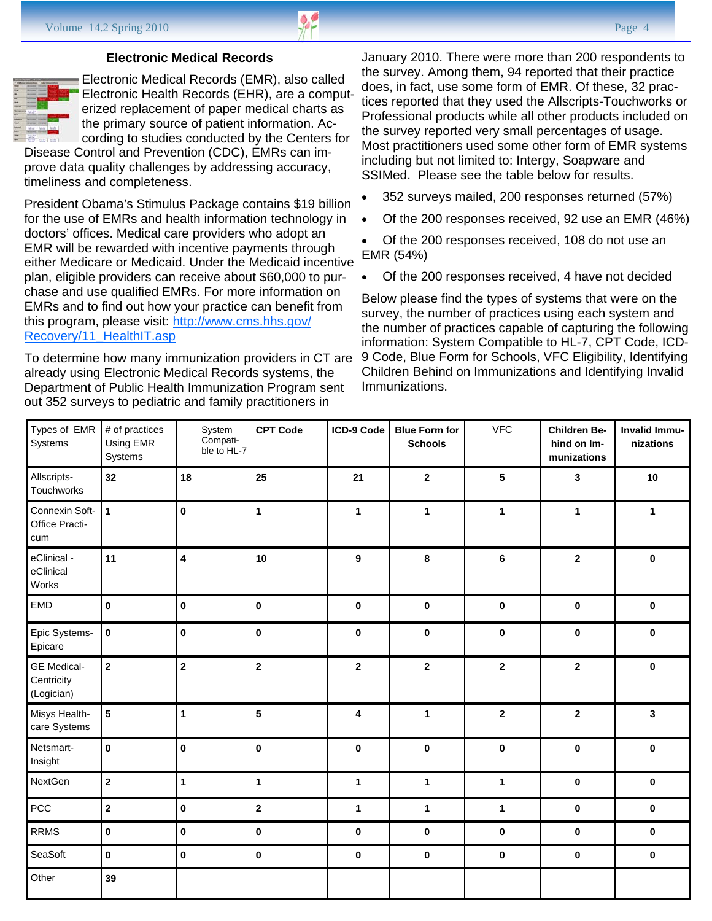## **Electronic Medical Records**



Electronic Medical Records (EMR), also called Electronic Health Records (EHR), are a computerized replacement of paper medical charts as the primary source of patient information. According to studies conducted by the Centers for

Disease Control and Prevention (CDC), EMRs can improve data quality challenges by addressing accuracy, timeliness and completeness.

President Obama's Stimulus Package contains \$19 billion for the use of EMRs and health information technology in doctors' offices. Medical care providers who adopt an EMR will be rewarded with incentive payments through either Medicare or Medicaid. Under the Medicaid incentive plan, eligible providers can receive about \$60,000 to purchase and use qualified EMRs. For more information on EMRs and to find out how your practice can benefit from this program, please visit: http://www.cms.hhs.gov/ Recovery/11\_HealthIT.asp

To determine how many immunization providers in CT are already using Electronic Medical Records systems, the Department of Public Health Immunization Program sent out 352 surveys to pediatric and family practitioners in

January 2010. There were more than 200 respondents to the survey. Among them, 94 reported that their practice does, in fact, use some form of EMR. Of these, 32 practices reported that they used the Allscripts-Touchworks or Professional products while all other products included on the survey reported very small percentages of usage. Most practitioners used some other form of EMR systems including but not limited to: Intergy, Soapware and SSIMed. Please see the table below for results.

- 352 surveys mailed, 200 responses returned (57%)
- Of the 200 responses received, 92 use an EMR (46%)
- Of the 200 responses received, 108 do not use an EMR (54%)
- Of the 200 responses received, 4 have not decided

Below please find the types of systems that were on the survey, the number of practices using each system and the number of practices capable of capturing the following information: System Compatible to HL-7, CPT Code, ICD-9 Code, Blue Form for Schools, VFC Eligibility, Identifying Children Behind on Immunizations and Identifying Invalid Immunizations.

| Types of EMR<br>Systems                        | # of practices<br>Using EMR<br>Systems | System<br>Compati-<br>ble to HL-7 | <b>CPT Code</b> | ICD-9 Code              | <b>Blue Form for</b><br><b>Schools</b> | <b>VFC</b>              | <b>Children Be-</b><br>hind on Im-<br>munizations | Invalid Immu-<br>nizations |
|------------------------------------------------|----------------------------------------|-----------------------------------|-----------------|-------------------------|----------------------------------------|-------------------------|---------------------------------------------------|----------------------------|
| Allscripts-<br>Touchworks                      | 32                                     | 18                                | 25              | 21                      | $\overline{\mathbf{2}}$                | 5                       | $\mathbf{3}$                                      | 10                         |
| Connexin Soft-<br>Office Practi-<br>cum        | $\mathbf{1}$                           | $\pmb{0}$                         | $\mathbf{1}$    | $\mathbf{1}$            | $\mathbf{1}$                           | 1                       | $\mathbf{1}$                                      | $\mathbf{1}$               |
| eClinical -<br>eClinical<br>Works              | 11                                     | $\overline{\mathbf{4}}$           | 10              | 9                       | 8                                      | $\bf 6$                 | $\overline{\mathbf{2}}$                           | $\pmb{0}$                  |
| EMD                                            | $\pmb{0}$                              | $\pmb{0}$                         | $\pmb{0}$       | $\pmb{0}$               | 0                                      | $\pmb{0}$               | 0                                                 | 0                          |
| Epic Systems-<br>Epicare                       | $\pmb{0}$                              | $\pmb{0}$                         | $\pmb{0}$       | $\pmb{0}$               | $\pmb{0}$                              | $\pmb{0}$               | $\pmb{0}$                                         | $\pmb{0}$                  |
| <b>GE</b> Medical-<br>Centricity<br>(Logician) | $\overline{\mathbf{2}}$                | $\overline{\mathbf{2}}$           | $\mathbf 2$     | $\mathbf{2}$            | $\overline{\mathbf{2}}$                | $\overline{\mathbf{2}}$ | $\mathbf 2$                                       | $\pmb{0}$                  |
| Misys Health-<br>care Systems                  | $5\phantom{a}$                         | $\mathbf{1}$                      | 5               | $\overline{\mathbf{4}}$ | 1                                      | $\overline{\mathbf{2}}$ | $\overline{\mathbf{2}}$                           | $\mathbf{3}$               |
| Netsmart-<br>Insight                           | $\mathbf 0$                            | $\pmb{0}$                         | $\pmb{0}$       | 0                       | $\bf{0}$                               | $\pmb{0}$               | $\pmb{0}$                                         | 0                          |
| <b>NextGen</b>                                 | $\overline{\mathbf{2}}$                | $\mathbf{1}$                      | 1               | $\mathbf{1}$            | $\mathbf{1}$                           | $\mathbf{1}$            | $\mathbf 0$                                       | 0                          |
| PCC                                            | $\overline{\mathbf{2}}$                | $\pmb{0}$                         | $\mathbf{2}$    | $\mathbf{1}$            | $\mathbf{1}$                           | $\mathbf{1}$            | $\mathbf 0$                                       | $\bf{0}$                   |
| <b>RRMS</b>                                    | 0                                      | $\pmb{0}$                         | $\pmb{0}$       | 0                       | 0                                      | $\mathbf 0$             | $\bf{0}$                                          | 0                          |
| SeaSoft                                        | 0                                      | $\pmb{0}$                         | $\pmb{0}$       | $\pmb{0}$               | $\pmb{0}$                              | $\pmb{0}$               | $\pmb{0}$                                         | $\pmb{0}$                  |
| Other                                          | 39                                     |                                   |                 |                         |                                        |                         |                                                   |                            |